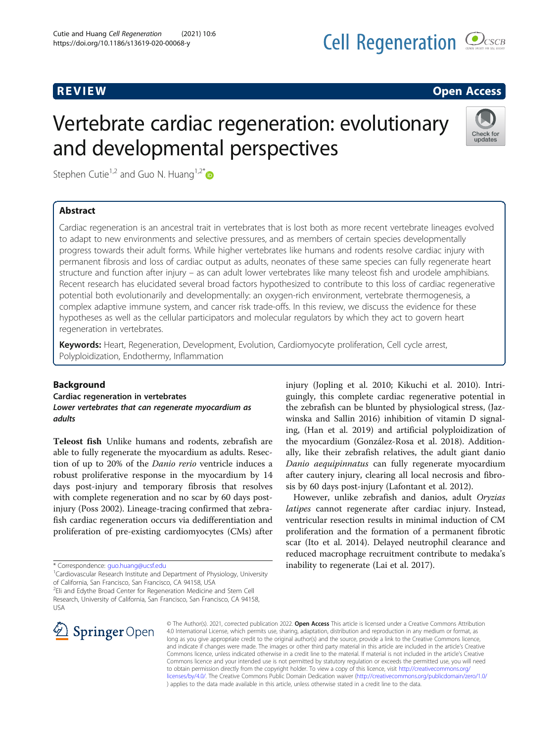## R EVI EW Open Access

# Vertebrate cardiac regeneration: evolutionary and developmental perspectives



Stephen Cutie<sup>1,2</sup> and Guo N. Huang<sup>1,2\*</sup>

### Abstract

Cardiac regeneration is an ancestral trait in vertebrates that is lost both as more recent vertebrate lineages evolved to adapt to new environments and selective pressures, and as members of certain species developmentally progress towards their adult forms. While higher vertebrates like humans and rodents resolve cardiac injury with permanent fibrosis and loss of cardiac output as adults, neonates of these same species can fully regenerate heart structure and function after injury – as can adult lower vertebrates like many teleost fish and urodele amphibians. Recent research has elucidated several broad factors hypothesized to contribute to this loss of cardiac regenerative potential both evolutionarily and developmentally: an oxygen-rich environment, vertebrate thermogenesis, a complex adaptive immune system, and cancer risk trade-offs. In this review, we discuss the evidence for these hypotheses as well as the cellular participators and molecular regulators by which they act to govern heart regeneration in vertebrates.

Keywords: Heart, Regeneration, Development, Evolution, Cardiomyocyte proliferation, Cell cycle arrest, Polyploidization, Endothermy, Inflammation

#### Background

Cardiac regeneration in vertebrates Lower vertebrates that can regenerate myocardium as adults

Teleost fish Unlike humans and rodents, zebrafish are able to fully regenerate the myocardium as adults. Resection of up to 20% of the Danio rerio ventricle induces a robust proliferative response in the myocardium by 14 days post-injury and temporary fibrosis that resolves with complete regeneration and no scar by 60 days postinjury (Poss 2002). Lineage-tracing confirmed that zebrafish cardiac regeneration occurs via dedifferentiation and proliferation of pre-existing cardiomyocytes (CMs) after

<sup>1</sup>Cardiovascular Research Institute and Department of Physiology, University of California, San Francisco, San Francisco, CA 94158, USA

<sup>&</sup>lt;sup>2</sup>Eli and Edythe Broad Center for Regeneration Medicine and Stem Cell Research, University of California, San Francisco, San Francisco, CA 94158, USA



injury (Jopling et al. 2010; Kikuchi et al. 2010). Intriguingly, this complete cardiac regenerative potential in the zebrafish can be blunted by physiological stress, (Jazwinska and Sallin 2016) inhibition of vitamin D signaling, (Han et al. 2019) and artificial polyploidization of the myocardium (González-Rosa et al. 2018). Additionally, like their zebrafish relatives, the adult giant danio Danio aequipinnatus can fully regenerate myocardium after cautery injury, clearing all local necrosis and fibrosis by 60 days post-injury (Lafontant et al. 2012).

However, unlike zebrafish and danios, adult Oryzias latipes cannot regenerate after cardiac injury. Instead, ventricular resection results in minimal induction of CM proliferation and the formation of a permanent fibrotic scar (Ito et al. 2014). Delayed neutrophil clearance and reduced macrophage recruitment contribute to medaka's inability to regenerate (Lai et al. 2017).

© The Author(s). 2021, corrected publication 2022. Open Access This article is licensed under a Creative Commons Attribution 4.0 International License, which permits use, sharing, adaptation, distribution and reproduction in any medium or format, as long as you give appropriate credit to the original author(s) and the source, provide a link to the Creative Commons licence, and indicate if changes were made. The images or other third party material in this article are included in the article's Creative Commons licence, unless indicated otherwise in a credit line to the material. If material is not included in the article's Creative Commons licence and your intended use is not permitted by statutory regulation or exceeds the permitted use, you will need to obtain permission directly from the copyright holder. To view a copy of this licence, visit [http://creativecommons.org/](http://creativecommons.org/licenses/by/4.0/) [licenses/by/4.0/](http://creativecommons.org/licenses/by/4.0/). The Creative Commons Public Domain Dedication waiver [\(http://creativecommons.org/publicdomain/zero/1.0/](http://creativecommons.org/publicdomain/zero/1.0/) ) applies to the data made available in this article, unless otherwise stated in a credit line to the data.

<sup>\*</sup> Correspondence: [guo.huang@ucsf.edu](mailto:guo.huang@ucsf.edu) <sup>1</sup>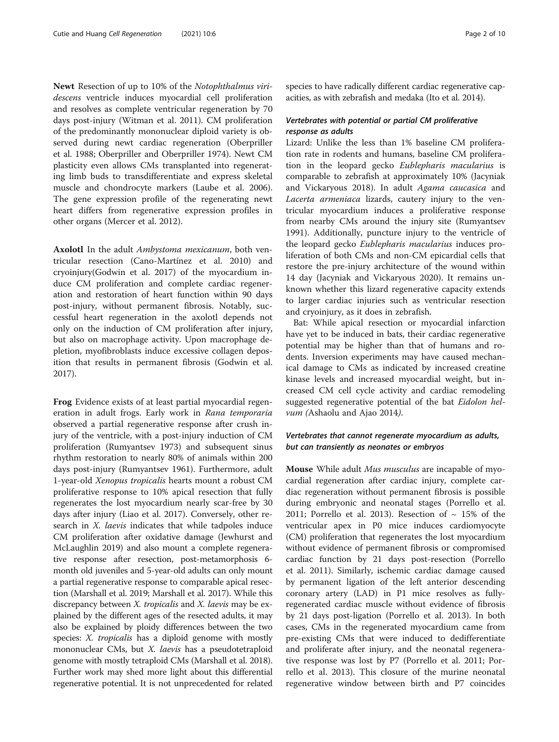Newt Resection of up to 10% of the Notophthalmus viridescens ventricle induces myocardial cell proliferation and resolves as complete ventricular regeneration by 70 days post-injury (Witman et al. 2011). CM proliferation of the predominantly mononuclear diploid variety is observed during newt cardiac regeneration (Oberpriller et al. 1988; Oberpriller and Oberpriller 1974). Newt CM plasticity even allows CMs transplanted into regenerating limb buds to transdifferentiate and express skeletal muscle and chondrocyte markers (Laube et al. 2006). The gene expression profile of the regenerating newt heart differs from regenerative expression profiles in other organs (Mercer et al. 2012).

Axolotl In the adult Ambystoma mexicanum, both ventricular resection (Cano-Martínez et al. 2010) and cryoinjury(Godwin et al. 2017) of the myocardium induce CM proliferation and complete cardiac regeneration and restoration of heart function within 90 days post-injury, without permanent fibrosis. Notably, successful heart regeneration in the axolotl depends not only on the induction of CM proliferation after injury, but also on macrophage activity. Upon macrophage depletion, myofibroblasts induce excessive collagen deposition that results in permanent fibrosis (Godwin et al. 2017).

Frog Evidence exists of at least partial myocardial regeneration in adult frogs. Early work in Rana temporaria observed a partial regenerative response after crush injury of the ventricle, with a post-injury induction of CM proliferation (Rumyantsev 1973) and subsequent sinus rhythm restoration to nearly 80% of animals within 200 days post-injury (Rumyantsev 1961). Furthermore, adult 1-year-old Xenopus tropicalis hearts mount a robust CM proliferative response to 10% apical resection that fully regenerates the lost myocardium nearly scar-free by 30 days after injury (Liao et al. 2017). Conversely, other research in *X. laevis* indicates that while tadpoles induce CM proliferation after oxidative damage (Jewhurst and McLaughlin 2019) and also mount a complete regenerative response after resection, post-metamorphosis 6 month old juveniles and 5-year-old adults can only mount a partial regenerative response to comparable apical resection (Marshall et al. 2019; Marshall et al. 2017). While this discrepancy between *X. tropicalis* and *X. laevis* may be explained by the different ages of the resected adults, it may also be explained by ploidy differences between the two species: *X. tropicalis* has a diploid genome with mostly mononuclear CMs, but *X. laevis* has a pseudotetraploid genome with mostly tetraploid CMs (Marshall et al. 2018). Further work may shed more light about this differential regenerative potential. It is not unprecedented for related species to have radically different cardiac regenerative capacities, as with zebrafish and medaka (Ito et al. 2014).

#### Vertebrates with potential or partial CM proliferative response as adults

Lizard: Unlike the less than 1% baseline CM proliferation rate in rodents and humans, baseline CM proliferation in the leopard gecko Eublepharis macularius is comparable to zebrafish at approximately 10% (Jacyniak and Vickaryous 2018). In adult Agama caucasica and Lacerta armeniaca lizards, cautery injury to the ventricular myocardium induces a proliferative response from nearby CMs around the injury site (Rumyantsev 1991). Additionally, puncture injury to the ventricle of the leopard gecko Eublepharis macularius induces proliferation of both CMs and non-CM epicardial cells that restore the pre-injury architecture of the wound within 14 day (Jacyniak and Vickaryous 2020). It remains unknown whether this lizard regenerative capacity extends to larger cardiac injuries such as ventricular resection and cryoinjury, as it does in zebrafish.

Bat: While apical resection or myocardial infarction have yet to be induced in bats, their cardiac regenerative potential may be higher than that of humans and rodents. Inversion experiments may have caused mechanical damage to CMs as indicated by increased creatine kinase levels and increased myocardial weight, but increased CM cell cycle activity and cardiac remodeling suggested regenerative potential of the bat Eidolon helvum (Ashaolu and Ajao 2014).

#### Vertebrates that cannot regenerate myocardium as adults, but can transiently as neonates or embryos

Mouse While adult Mus musculus are incapable of myocardial regeneration after cardiac injury, complete cardiac regeneration without permanent fibrosis is possible during embryonic and neonatal stages (Porrello et al. 2011; Porrello et al. 2013). Resection of  $\sim 15\%$  of the ventricular apex in P0 mice induces cardiomyocyte (CM) proliferation that regenerates the lost myocardium without evidence of permanent fibrosis or compromised cardiac function by 21 days post-resection (Porrello et al. 2011). Similarly, ischemic cardiac damage caused by permanent ligation of the left anterior descending coronary artery (LAD) in P1 mice resolves as fullyregenerated cardiac muscle without evidence of fibrosis by 21 days post-ligation (Porrello et al. 2013). In both cases, CMs in the regenerated myocardium came from pre-existing CMs that were induced to dedifferentiate and proliferate after injury, and the neonatal regenerative response was lost by P7 (Porrello et al. 2011; Porrello et al. 2013). This closure of the murine neonatal regenerative window between birth and P7 coincides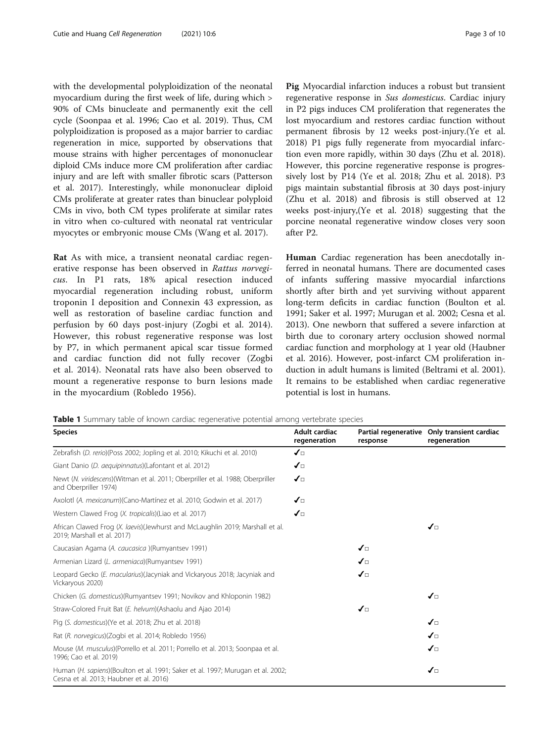<span id="page-2-0"></span>with the developmental polyploidization of the neonatal myocardium during the first week of life, during which > 90% of CMs binucleate and permanently exit the cell cycle (Soonpaa et al. 1996; Cao et al. 2019). Thus, CM polyploidization is proposed as a major barrier to cardiac regeneration in mice, supported by observations that mouse strains with higher percentages of mononuclear diploid CMs induce more CM proliferation after cardiac injury and are left with smaller fibrotic scars (Patterson et al. 2017). Interestingly, while mononuclear diploid CMs proliferate at greater rates than binuclear polyploid CMs in vivo, both CM types proliferate at similar rates in vitro when co-cultured with neonatal rat ventricular myocytes or embryonic mouse CMs (Wang et al. 2017).

Rat As with mice, a transient neonatal cardiac regenerative response has been observed in Rattus norvegicus. In P1 rats, 18% apical resection induced myocardial regeneration including robust, uniform troponin I deposition and Connexin 43 expression, as well as restoration of baseline cardiac function and perfusion by 60 days post-injury (Zogbi et al. 2014). However, this robust regenerative response was lost by P7, in which permanent apical scar tissue formed and cardiac function did not fully recover (Zogbi et al. 2014). Neonatal rats have also been observed to mount a regenerative response to burn lesions made in the myocardium (Robledo 1956).

Pig Myocardial infarction induces a robust but transient regenerative response in Sus domesticus. Cardiac injury in P2 pigs induces CM proliferation that regenerates the lost myocardium and restores cardiac function without permanent fibrosis by 12 weeks post-injury.(Ye et al. 2018) P1 pigs fully regenerate from myocardial infarction even more rapidly, within 30 days (Zhu et al. 2018). However, this porcine regenerative response is progressively lost by P14 (Ye et al. 2018; Zhu et al. 2018). P3 pigs maintain substantial fibrosis at 30 days post-injury (Zhu et al. 2018) and fibrosis is still observed at 12 weeks post-injury,(Ye et al. 2018) suggesting that the porcine neonatal regenerative window closes very soon after P2.

Human Cardiac regeneration has been anecdotally inferred in neonatal humans. There are documented cases of infants suffering massive myocardial infarctions shortly after birth and yet surviving without apparent long-term deficits in cardiac function (Boulton et al. 1991; Saker et al. 1997; Murugan et al. 2002; Cesna et al. 2013). One newborn that suffered a severe infarction at birth due to coronary artery occlusion showed normal cardiac function and morphology at 1 year old (Haubner et al. 2016). However, post-infarct CM proliferation induction in adult humans is limited (Beltrami et al. 2001). It remains to be established when cardiac regenerative potential is lost in humans.

Table 1 Summary table of known cardiac regenerative potential among vertebrate species

| <b>Species</b>                                                                                                             | Adult cardiac<br>regeneration | response             | Partial regenerative Only transient cardiac<br>regeneration |
|----------------------------------------------------------------------------------------------------------------------------|-------------------------------|----------------------|-------------------------------------------------------------|
| Zebrafish (D. rerio)(Poss 2002; Jopling et al. 2010; Kikuchi et al. 2010)                                                  | $\sqrt{2}$                    |                      |                                                             |
| Giant Danio (D. aequipinnatus)(Lafontant et al. 2012)                                                                      | ✔□                            |                      |                                                             |
| Newt (N. viridescens)(Witman et al. 2011; Oberpriller et al. 1988; Oberpriller<br>and Oberpriller 1974)                    | $\boldsymbol{J}$              |                      |                                                             |
| Axolotl (A. mexicanum) (Cano-Martínez et al. 2010; Godwin et al. 2017)                                                     | $\mathcal{J}_{\Box}$          |                      |                                                             |
| Western Clawed Frog (X. tropicalis)(Liao et al. 2017)                                                                      | $\mathcal{J}_{\Box}$          |                      |                                                             |
| African Clawed Frog (X. laevis)(Jewhurst and McLaughlin 2019; Marshall et al.<br>2019; Marshall et al. 2017)               |                               |                      | ✔□                                                          |
| Caucasian Agama (A. caucasica ) (Rumyantsev 1991)                                                                          |                               | $\mathcal{J}_{\Box}$ |                                                             |
| Armenian Lizard (L. armeniaca)(Rumyantsev 1991)                                                                            |                               | ✔□                   |                                                             |
| Leopard Gecko (E. macularius)(Jacyniak and Vickaryous 2018; Jacyniak and<br>Vickaryous 2020)                               |                               | $\mathcal{J}_{\Box}$ |                                                             |
| Chicken (G. domesticus)(Rumyantsev 1991; Novikov and Khloponin 1982)                                                       |                               |                      | ✔□                                                          |
| Straw-Colored Fruit Bat (E. helvum) (Ashaolu and Ajao 2014)                                                                |                               | ✔□                   |                                                             |
| Pig (S. domesticus)(Ye et al. 2018; Zhu et al. 2018)                                                                       |                               |                      | ✔□                                                          |
| Rat (R. norvegicus)(Zogbi et al. 2014; Robledo 1956)                                                                       |                               |                      | ✔□                                                          |
| Mouse (M. musculus) (Porrello et al. 2011; Porrello et al. 2013; Soonpaa et al.<br>1996; Cao et al. 2019)                  |                               |                      | ✔□                                                          |
| Human (H. sapiens)(Boulton et al. 1991; Saker et al. 1997; Murugan et al. 2002;<br>Cesna et al. 2013; Haubner et al. 2016) |                               |                      | ✔□                                                          |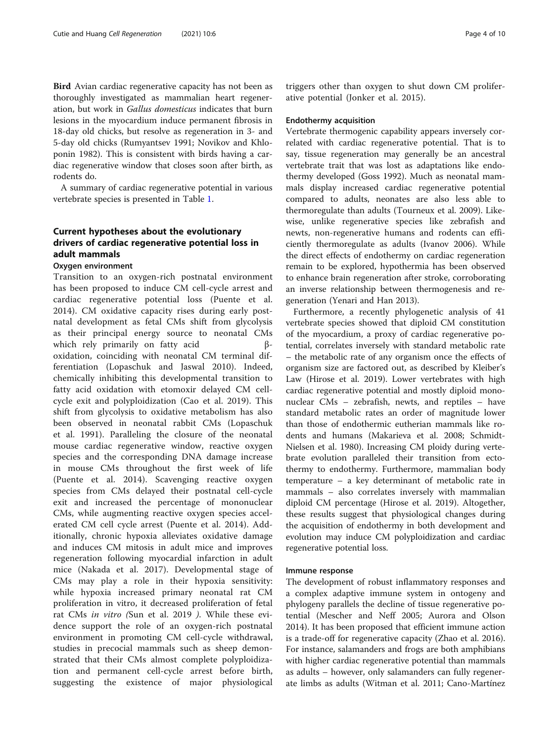Bird Avian cardiac regenerative capacity has not been as thoroughly investigated as mammalian heart regeneration, but work in Gallus domesticus indicates that burn lesions in the myocardium induce permanent fibrosis in 18-day old chicks, but resolve as regeneration in 3- and 5-day old chicks (Rumyantsev 1991; Novikov and Khloponin 1982). This is consistent with birds having a cardiac regenerative window that closes soon after birth, as rodents do.

A summary of cardiac regenerative potential in various vertebrate species is presented in Table [1.](#page-2-0)

#### Current hypotheses about the evolutionary drivers of cardiac regenerative potential loss in adult mammals

#### Oxygen environment

Transition to an oxygen-rich postnatal environment has been proposed to induce CM cell-cycle arrest and cardiac regenerative potential loss (Puente et al. 2014). CM oxidative capacity rises during early postnatal development as fetal CMs shift from glycolysis as their principal energy source to neonatal CMs which rely primarily on fatty acid βoxidation, coinciding with neonatal CM terminal differentiation (Lopaschuk and Jaswal 2010). Indeed, chemically inhibiting this developmental transition to fatty acid oxidation with etomoxir delayed CM cellcycle exit and polyploidization (Cao et al. 2019). This shift from glycolysis to oxidative metabolism has also been observed in neonatal rabbit CMs (Lopaschuk et al. 1991). Paralleling the closure of the neonatal mouse cardiac regenerative window, reactive oxygen species and the corresponding DNA damage increase in mouse CMs throughout the first week of life (Puente et al. 2014). Scavenging reactive oxygen species from CMs delayed their postnatal cell-cycle exit and increased the percentage of mononuclear CMs, while augmenting reactive oxygen species accelerated CM cell cycle arrest (Puente et al. 2014). Additionally, chronic hypoxia alleviates oxidative damage and induces CM mitosis in adult mice and improves regeneration following myocardial infarction in adult mice (Nakada et al. 2017). Developmental stage of CMs may play a role in their hypoxia sensitivity: while hypoxia increased primary neonatal rat CM proliferation in vitro, it decreased proliferation of fetal rat CMs in vitro (Sun et al. 2019 ). While these evidence support the role of an oxygen-rich postnatal environment in promoting CM cell-cycle withdrawal, studies in precocial mammals such as sheep demonstrated that their CMs almost complete polyploidization and permanent cell-cycle arrest before birth, suggesting the existence of major physiological

triggers other than oxygen to shut down CM proliferative potential (Jonker et al. 2015).

#### Endothermy acquisition

Vertebrate thermogenic capability appears inversely correlated with cardiac regenerative potential. That is to say, tissue regeneration may generally be an ancestral vertebrate trait that was lost as adaptations like endothermy developed (Goss 1992). Much as neonatal mammals display increased cardiac regenerative potential compared to adults, neonates are also less able to thermoregulate than adults (Tourneux et al. 2009). Likewise, unlike regenerative species like zebrafish and newts, non-regenerative humans and rodents can efficiently thermoregulate as adults (Ivanov 2006). While the direct effects of endothermy on cardiac regeneration remain to be explored, hypothermia has been observed to enhance brain regeneration after stroke, corroborating an inverse relationship between thermogenesis and regeneration (Yenari and Han 2013).

Furthermore, a recently phylogenetic analysis of 41 vertebrate species showed that diploid CM constitution of the myocardium, a proxy of cardiac regenerative potential, correlates inversely with standard metabolic rate – the metabolic rate of any organism once the effects of organism size are factored out, as described by Kleiber's Law (Hirose et al. 2019). Lower vertebrates with high cardiac regenerative potential and mostly diploid mononuclear CMs – zebrafish, newts, and reptiles – have standard metabolic rates an order of magnitude lower than those of endothermic eutherian mammals like rodents and humans (Makarieva et al. 2008; Schmidt-Nielsen et al. 1980). Increasing CM ploidy during vertebrate evolution paralleled their transition from ectothermy to endothermy. Furthermore, mammalian body temperature – a key determinant of metabolic rate in mammals – also correlates inversely with mammalian diploid CM percentage (Hirose et al. 2019). Altogether, these results suggest that physiological changes during the acquisition of endothermy in both development and evolution may induce CM polyploidization and cardiac regenerative potential loss.

#### Immune response

The development of robust inflammatory responses and a complex adaptive immune system in ontogeny and phylogeny parallels the decline of tissue regenerative potential (Mescher and Neff 2005; Aurora and Olson 2014). It has been proposed that efficient immune action is a trade-off for regenerative capacity (Zhao et al. 2016). For instance, salamanders and frogs are both amphibians with higher cardiac regenerative potential than mammals as adults – however, only salamanders can fully regenerate limbs as adults (Witman et al. 2011; Cano-Martínez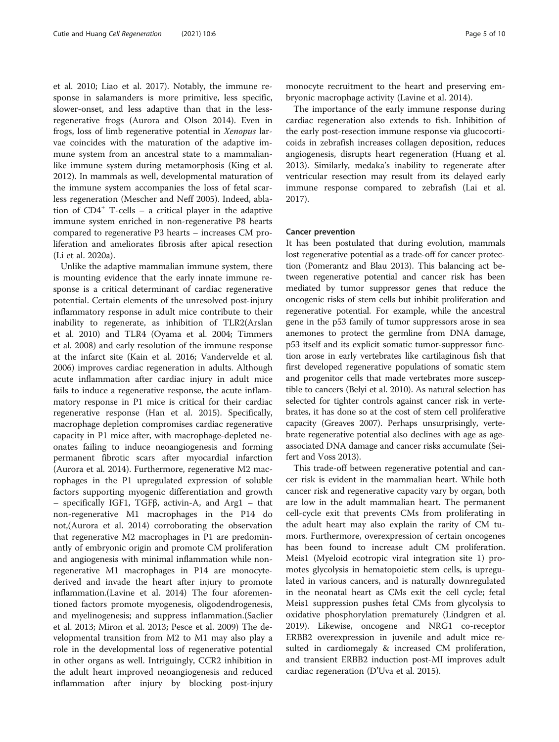et al. 2010; Liao et al. 2017). Notably, the immune response in salamanders is more primitive, less specific, slower-onset, and less adaptive than that in the lessregenerative frogs (Aurora and Olson 2014). Even in frogs, loss of limb regenerative potential in Xenopus larvae coincides with the maturation of the adaptive immune system from an ancestral state to a mammalianlike immune system during metamorphosis (King et al. 2012). In mammals as well, developmental maturation of the immune system accompanies the loss of fetal scarless regeneration (Mescher and Neff 2005). Indeed, ablation of  $CD4^+$  T-cells – a critical player in the adaptive immune system enriched in non-regenerative P8 hearts compared to regenerative P3 hearts – increases CM proliferation and ameliorates fibrosis after apical resection (Li et al. 2020a).

Unlike the adaptive mammalian immune system, there is mounting evidence that the early innate immune response is a critical determinant of cardiac regenerative potential. Certain elements of the unresolved post-injury inflammatory response in adult mice contribute to their inability to regenerate, as inhibition of TLR2(Arslan et al. 2010) and TLR4 (Oyama et al. 2004; Timmers et al. 2008) and early resolution of the immune response at the infarct site (Kain et al. 2016; Vandervelde et al. 2006) improves cardiac regeneration in adults. Although acute inflammation after cardiac injury in adult mice fails to induce a regenerative response, the acute inflammatory response in P1 mice is critical for their cardiac regenerative response (Han et al. 2015). Specifically, macrophage depletion compromises cardiac regenerative capacity in P1 mice after, with macrophage-depleted neonates failing to induce neoangiogenesis and forming permanent fibrotic scars after myocardial infarction (Aurora et al. 2014). Furthermore, regenerative M2 macrophages in the P1 upregulated expression of soluble factors supporting myogenic differentiation and growth – specifically IGF1, TGFβ, activin-A, and Arg1 – that non-regenerative M1 macrophages in the P14 do not,(Aurora et al. 2014) corroborating the observation that regenerative M2 macrophages in P1 are predominantly of embryonic origin and promote CM proliferation and angiogenesis with minimal inflammation while nonregenerative M1 macrophages in P14 are monocytederived and invade the heart after injury to promote inflammation.(Lavine et al. 2014) The four aforementioned factors promote myogenesis, oligodendrogenesis, and myelinogenesis; and suppress inflammation.(Saclier et al. 2013; Miron et al. 2013; Pesce et al. 2009) The developmental transition from M2 to M1 may also play a role in the developmental loss of regenerative potential in other organs as well. Intriguingly, CCR2 inhibition in the adult heart improved neoangiogenesis and reduced inflammation after injury by blocking post-injury

monocyte recruitment to the heart and preserving embryonic macrophage activity (Lavine et al. 2014).

The importance of the early immune response during cardiac regeneration also extends to fish. Inhibition of the early post-resection immune response via glucocorticoids in zebrafish increases collagen deposition, reduces angiogenesis, disrupts heart regeneration (Huang et al. 2013). Similarly, medaka's inability to regenerate after ventricular resection may result from its delayed early immune response compared to zebrafish (Lai et al. 2017).

#### Cancer prevention

It has been postulated that during evolution, mammals lost regenerative potential as a trade-off for cancer protection (Pomerantz and Blau 2013). This balancing act between regenerative potential and cancer risk has been mediated by tumor suppressor genes that reduce the oncogenic risks of stem cells but inhibit proliferation and regenerative potential. For example, while the ancestral gene in the p53 family of tumor suppressors arose in sea anemones to protect the germline from DNA damage, p53 itself and its explicit somatic tumor-suppressor function arose in early vertebrates like cartilaginous fish that first developed regenerative populations of somatic stem and progenitor cells that made vertebrates more susceptible to cancers (Belyi et al. 2010). As natural selection has selected for tighter controls against cancer risk in vertebrates, it has done so at the cost of stem cell proliferative capacity (Greaves 2007). Perhaps unsurprisingly, vertebrate regenerative potential also declines with age as ageassociated DNA damage and cancer risks accumulate (Seifert and Voss 2013).

This trade-off between regenerative potential and cancer risk is evident in the mammalian heart. While both cancer risk and regenerative capacity vary by organ, both are low in the adult mammalian heart. The permanent cell-cycle exit that prevents CMs from proliferating in the adult heart may also explain the rarity of CM tumors. Furthermore, overexpression of certain oncogenes has been found to increase adult CM proliferation. Meis1 (Myeloid ecotropic viral integration site 1) promotes glycolysis in hematopoietic stem cells, is upregulated in various cancers, and is naturally downregulated in the neonatal heart as CMs exit the cell cycle; fetal Meis1 suppression pushes fetal CMs from glycolysis to oxidative phosphorylation prematurely (Lindgren et al. 2019). Likewise, oncogene and NRG1 co-receptor ERBB2 overexpression in juvenile and adult mice resulted in cardiomegaly & increased CM proliferation, and transient ERBB2 induction post-MI improves adult cardiac regeneration (D'Uva et al. 2015).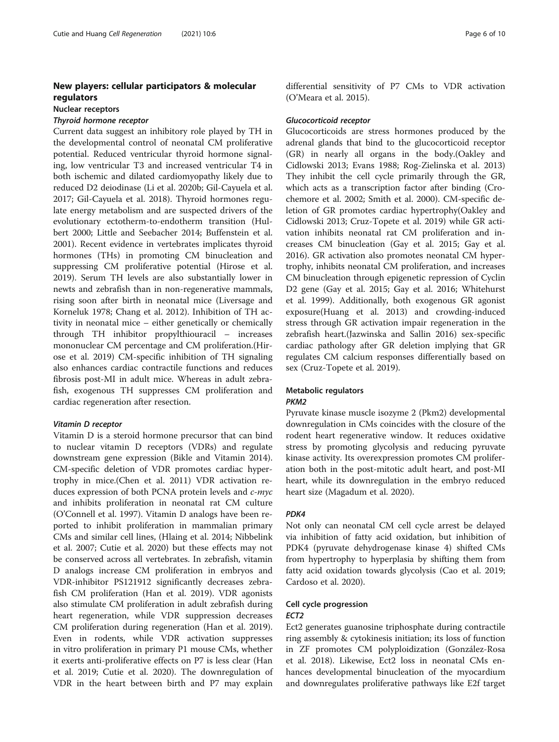#### New players: cellular participators & molecular regulators

#### Nuclear receptors

#### Thyroid hormone receptor

Current data suggest an inhibitory role played by TH in the developmental control of neonatal CM proliferative potential. Reduced ventricular thyroid hormone signaling, low ventricular T3 and increased ventricular T4 in both ischemic and dilated cardiomyopathy likely due to reduced D2 deiodinase (Li et al. 2020b; Gil-Cayuela et al. 2017; Gil-Cayuela et al. 2018). Thyroid hormones regulate energy metabolism and are suspected drivers of the evolutionary ectotherm-to-endotherm transition (Hulbert 2000; Little and Seebacher 2014; Buffenstein et al. 2001). Recent evidence in vertebrates implicates thyroid hormones (THs) in promoting CM binucleation and suppressing CM proliferative potential (Hirose et al. 2019). Serum TH levels are also substantially lower in newts and zebrafish than in non-regenerative mammals, rising soon after birth in neonatal mice (Liversage and Korneluk 1978; Chang et al. 2012). Inhibition of TH activity in neonatal mice – either genetically or chemically through TH inhibitor propylthiouracil – increases mononuclear CM percentage and CM proliferation.(Hirose et al. 2019) CM-specific inhibition of TH signaling also enhances cardiac contractile functions and reduces fibrosis post-MI in adult mice. Whereas in adult zebrafish, exogenous TH suppresses CM proliferation and cardiac regeneration after resection.

#### Vitamin D receptor

Vitamin D is a steroid hormone precursor that can bind to nuclear vitamin D receptors (VDRs) and regulate downstream gene expression (Bikle and Vitamin 2014). CM-specific deletion of VDR promotes cardiac hypertrophy in mice.(Chen et al. 2011) VDR activation reduces expression of both PCNA protein levels and c-myc and inhibits proliferation in neonatal rat CM culture (O'Connell et al. 1997). Vitamin D analogs have been reported to inhibit proliferation in mammalian primary CMs and similar cell lines, (Hlaing et al. 2014; Nibbelink et al. 2007; Cutie et al. 2020) but these effects may not be conserved across all vertebrates. In zebrafish, vitamin D analogs increase CM proliferation in embryos and VDR-inhibitor PS121912 significantly decreases zebrafish CM proliferation (Han et al. 2019). VDR agonists also stimulate CM proliferation in adult zebrafish during heart regeneration, while VDR suppression decreases CM proliferation during regeneration (Han et al. 2019). Even in rodents, while VDR activation suppresses in vitro proliferation in primary P1 mouse CMs, whether it exerts anti-proliferative effects on P7 is less clear (Han et al. 2019; Cutie et al. 2020). The downregulation of VDR in the heart between birth and P7 may explain differential sensitivity of P7 CMs to VDR activation (O'Meara et al. 2015).

#### Glucocorticoid receptor

Glucocorticoids are stress hormones produced by the adrenal glands that bind to the glucocorticoid receptor (GR) in nearly all organs in the body.(Oakley and Cidlowski 2013; Evans 1988; Rog-Zielinska et al. 2013) They inhibit the cell cycle primarily through the GR, which acts as a transcription factor after binding (Crochemore et al. 2002; Smith et al. 2000). CM-specific deletion of GR promotes cardiac hypertrophy(Oakley and Cidlowski 2013; Cruz-Topete et al. 2019) while GR activation inhibits neonatal rat CM proliferation and increases CM binucleation (Gay et al. 2015; Gay et al. 2016). GR activation also promotes neonatal CM hypertrophy, inhibits neonatal CM proliferation, and increases CM binucleation through epigenetic repression of Cyclin D2 gene (Gay et al. 2015; Gay et al. 2016; Whitehurst et al. 1999). Additionally, both exogenous GR agonist exposure(Huang et al. 2013) and crowding-induced stress through GR activation impair regeneration in the zebrafish heart.(Jazwinska and Sallin 2016) sex-specific cardiac pathology after GR deletion implying that GR regulates CM calcium responses differentially based on sex (Cruz-Topete et al. 2019).

#### Metabolic regulators

#### PKM2

Pyruvate kinase muscle isozyme 2 (Pkm2) developmental downregulation in CMs coincides with the closure of the rodent heart regenerative window. It reduces oxidative stress by promoting glycolysis and reducing pyruvate kinase activity. Its overexpression promotes CM proliferation both in the post-mitotic adult heart, and post-MI heart, while its downregulation in the embryo reduced heart size (Magadum et al. 2020).

#### PDK4

Not only can neonatal CM cell cycle arrest be delayed via inhibition of fatty acid oxidation, but inhibition of PDK4 (pyruvate dehydrogenase kinase 4) shifted CMs from hypertrophy to hyperplasia by shifting them from fatty acid oxidation towards glycolysis (Cao et al. 2019; Cardoso et al. 2020).

#### Cell cycle progression

#### ECT2

Ect2 generates guanosine triphosphate during contractile ring assembly & cytokinesis initiation; its loss of function in ZF promotes CM polyploidization (González-Rosa et al. 2018). Likewise, Ect2 loss in neonatal CMs enhances developmental binucleation of the myocardium and downregulates proliferative pathways like E2f target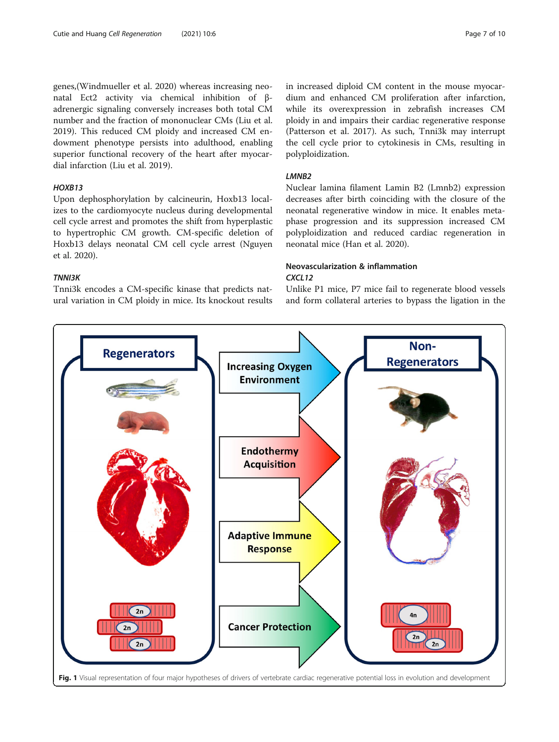<span id="page-6-0"></span>genes,(Windmueller et al. 2020) whereas increasing neonatal Ect2 activity via chemical inhibition of βadrenergic signaling conversely increases both total CM number and the fraction of mononuclear CMs (Liu et al. 2019). This reduced CM ploidy and increased CM endowment phenotype persists into adulthood, enabling superior functional recovery of the heart after myocardial infarction (Liu et al. 2019).

#### HOXB13

Upon dephosphorylation by calcineurin, Hoxb13 localizes to the cardiomyocyte nucleus during developmental cell cycle arrest and promotes the shift from hyperplastic to hypertrophic CM growth. CM-specific deletion of Hoxb13 delays neonatal CM cell cycle arrest (Nguyen et al. 2020).

#### TNNI3K

Tnni3k encodes a CM-specific kinase that predicts natural variation in CM ploidy in mice. Its knockout results

#### in increased diploid CM content in the mouse myocardium and enhanced CM proliferation after infarction, while its overexpression in zebrafish increases CM ploidy in and impairs their cardiac regenerative response (Patterson et al. 2017). As such, Tnni3k may interrupt the cell cycle prior to cytokinesis in CMs, resulting in polyploidization.

#### LMNB2

Nuclear lamina filament Lamin B2 (Lmnb2) expression decreases after birth coinciding with the closure of the neonatal regenerative window in mice. It enables metaphase progression and its suppression increased CM polyploidization and reduced cardiac regeneration in neonatal mice (Han et al. 2020).

#### Neovascularization & inflammation CXCL12

Unlike P1 mice, P7 mice fail to regenerate blood vessels and form collateral arteries to bypass the ligation in the

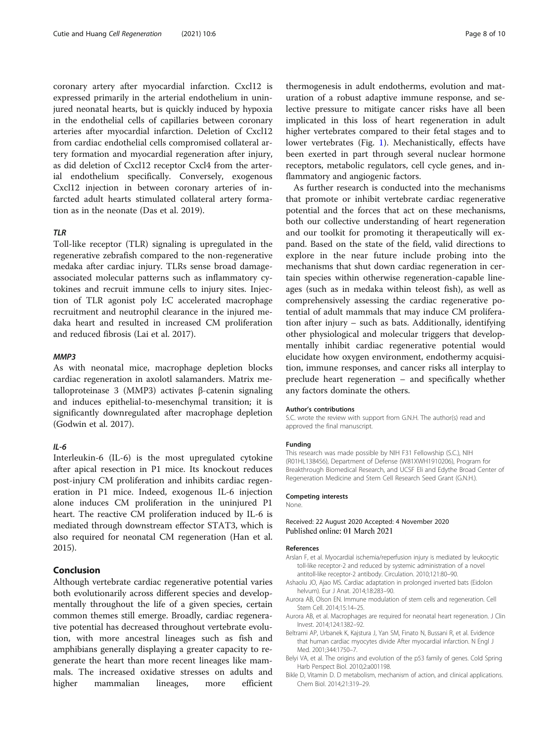coronary artery after myocardial infarction. Cxcl12 is expressed primarily in the arterial endothelium in uninjured neonatal hearts, but is quickly induced by hypoxia in the endothelial cells of capillaries between coronary arteries after myocardial infarction. Deletion of Cxcl12 from cardiac endothelial cells compromised collateral artery formation and myocardial regeneration after injury, as did deletion of Cxcl12 receptor Cxcl4 from the arterial endothelium specifically. Conversely, exogenous Cxcl12 injection in between coronary arteries of infarcted adult hearts stimulated collateral artery formation as in the neonate (Das et al. 2019).

#### TLR

Toll-like receptor (TLR) signaling is upregulated in the regenerative zebrafish compared to the non-regenerative medaka after cardiac injury. TLRs sense broad damageassociated molecular patterns such as inflammatory cytokines and recruit immune cells to injury sites. Injection of TLR agonist poly I:C accelerated macrophage recruitment and neutrophil clearance in the injured medaka heart and resulted in increased CM proliferation and reduced fibrosis (Lai et al. 2017).

#### MMP3

As with neonatal mice, macrophage depletion blocks cardiac regeneration in axolotl salamanders. Matrix metalloproteinase 3 (MMP3) activates β-catenin signaling and induces epithelial-to-mesenchymal transition; it is significantly downregulated after macrophage depletion (Godwin et al. 2017).

#### $II -6$

Interleukin-6 (IL-6) is the most upregulated cytokine after apical resection in P1 mice. Its knockout reduces post-injury CM proliferation and inhibits cardiac regeneration in P1 mice. Indeed, exogenous IL-6 injection alone induces CM proliferation in the uninjured P1 heart. The reactive CM proliferation induced by IL-6 is mediated through downstream effector STAT3, which is also required for neonatal CM regeneration (Han et al. 2015).

#### Conclusion

Although vertebrate cardiac regenerative potential varies both evolutionarily across different species and developmentally throughout the life of a given species, certain common themes still emerge. Broadly, cardiac regenerative potential has decreased throughout vertebrate evolution, with more ancestral lineages such as fish and amphibians generally displaying a greater capacity to regenerate the heart than more recent lineages like mammals. The increased oxidative stresses on adults and higher mammalian lineages, more efficient

thermogenesis in adult endotherms, evolution and maturation of a robust adaptive immune response, and selective pressure to mitigate cancer risks have all been implicated in this loss of heart regeneration in adult higher vertebrates compared to their fetal stages and to lower vertebrates (Fig. [1\)](#page-6-0). Mechanistically, effects have been exerted in part through several nuclear hormone receptors, metabolic regulators, cell cycle genes, and inflammatory and angiogenic factors.

As further research is conducted into the mechanisms that promote or inhibit vertebrate cardiac regenerative potential and the forces that act on these mechanisms, both our collective understanding of heart regeneration and our toolkit for promoting it therapeutically will expand. Based on the state of the field, valid directions to explore in the near future include probing into the mechanisms that shut down cardiac regeneration in certain species within otherwise regeneration-capable lineages (such as in medaka within teleost fish), as well as comprehensively assessing the cardiac regenerative potential of adult mammals that may induce CM proliferation after injury – such as bats. Additionally, identifying other physiological and molecular triggers that developmentally inhibit cardiac regenerative potential would elucidate how oxygen environment, endothermy acquisition, immune responses, and cancer risks all interplay to preclude heart regeneration – and specifically whether any factors dominate the others.

#### Author's contributions

S.C. wrote the review with support from G.N.H. The author(s) read and approved the final manuscript.

#### Funding

This research was made possible by NIH F31 Fellowship (S.C.), NIH (R01HL138456), Department of Defense (W81XWH1910206), Program for Breakthrough Biomedical Research, and UCSF Eli and Edythe Broad Center of Regeneration Medicine and Stem Cell Research Seed Grant (G.N.H.).

#### Competing interests

None.

#### Received: 22 August 2020 Accepted: 4 November 2020 Published online: 01 March 2021

#### References

- Arslan F, et al. Myocardial ischemia/reperfusion injury is mediated by leukocytic toll-like receptor-2 and reduced by systemic administration of a novel antitoll-like receptor-2 antibody. Circulation. 2010;121:80–90.
- Ashaolu JO, Ajao MS. Cardiac adaptation in prolonged inverted bats (Eidolon helvum). Eur J Anat. 2014;18:283–90.
- Aurora AB, Olson EN. Immune modulation of stem cells and regeneration. Cell Stem Cell. 2014;15:14–25.
- Aurora AB, et al. Macrophages are required for neonatal heart regeneration. J Clin Invest. 2014;124:1382–92.
- Beltrami AP, Urbanek K, Kajstura J, Yan SM, Finato N, Bussani R, et al. Evidence that human cardiac myocytes divide After myocardial infarction. N Engl J Med. 2001;344:1750–7.
- Belyi VA, et al. The origins and evolution of the p53 family of genes. Cold Spring Harb Perspect Biol. 2010;2:a001198.
- Bikle D, Vitamin D. D metabolism, mechanism of action, and clinical applications. Chem Biol. 2014;21:319–29.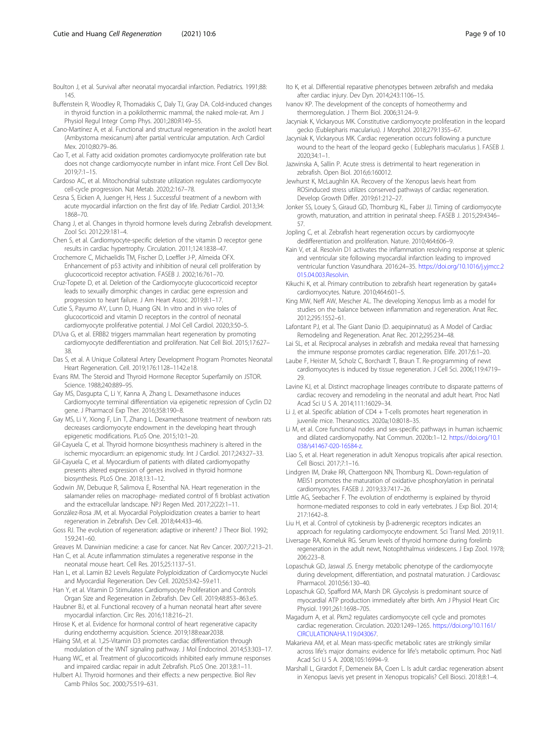- Buffenstein R, Woodley R, Thomadakis C, Daly TJ, Gray DA. Cold-induced changes in thyroid function in a poikilothermic mammal, the naked mole-rat. Am J Physiol Regul Integr Comp Phys. 2001;280:R149–55.
- Cano-Martínez A, et al. Functional and structural regeneration in the axolotl heart (Ambystoma mexicanum) after partial ventricular amputation. Arch Cardiol Mex. 2010;80:79–86.
- Cao T, et al. Fatty acid oxidation promotes cardiomyocyte proliferation rate but does not change cardiomyocyte number in infant mice. Front Cell Dev Biol. 2019;7:1–15.
- Cardoso AC, et al. Mitochondrial substrate utilization regulates cardiomyocyte cell-cycle progression. Nat Metab. 2020;2:167–78.
- Cesna S, Eicken A, Juenger H, Hess J. Successful treatment of a newborn with acute myocardial infarction on the first day of life. Pediatr Cardiol. 2013;34: 1868–70.
- Chang J, et al. Changes in thyroid hormone levels during Zebrafish development. Zool Sci. 2012;29:181–4.
- Chen S, et al. Cardiomyocyte-specific deletion of the vitamin D receptor gene results in cardiac hypertrophy. Circulation. 2011;124:1838–47.

Crochemore C, Michaelidis TM, Fischer D, Loeffler J-P, Almeida OFX. Enhancement of p53 activity and inhibition of neural cell proliferation by glucocorticoid receptor activation. FASEB J. 2002;16:761–70.

- Cruz-Topete D, et al. Deletion of the Cardiomyocyte glucocorticoid receptor leads to sexually dimorphic changes in cardiac gene expression and progression to heart failure. J Am Heart Assoc. 2019;8:1–17.
- Cutie S, Payumo AY, Lunn D, Huang GN. In vitro and in vivo roles of glucocorticoid and vitamin D receptors in the control of neonatal cardiomyocyte proliferative potential. J Mol Cell Cardiol. 2020;3:50–5.
- D'Uva G, et al. ERBB2 triggers mammalian heart regeneration by promoting cardiomyocyte dedifferentiation and proliferation. Nat Cell Biol. 2015;17:627– 38.
- Das S, et al. A Unique Collateral Artery Development Program Promotes Neonatal Heart Regeneration. Cell. 2019;176:1128–1142.e18.
- Evans RM. The Steroid and Thyroid Hormone Receptor Superfamily on JSTOR. Science. 1988;240:889–95.
- Gay MS, Dasgupta C, Li Y, Kanna A, Zhang L. Dexamethasone induces Cardiomyocyte terminal differentiation via epigenetic repression of Cyclin D2 gene. J Pharmacol Exp Ther. 2016;358:190–8.
- Gay MS, Li Y, Xiong F, Lin T, Zhang L. Dexamethasone treatment of newborn rats decreases cardiomyocyte endowment in the developing heart through epigenetic modifications. PLoS One. 2015;10:1–20.
- Gil-Cayuela C, et al. Thyroid hormone biosynthesis machinery is altered in the ischemic myocardium: an epigenomic study. Int J Cardiol. 2017;243:27–33.
- Gil-Cayuela C, et al. Myocardium of patients with dilated cardiomyopathy presents altered expression of genes involved in thyroid hormone biosynthesis. PLoS One. 2018;13:1–12.
- Godwin JW, Debuque R, Salimova E, Rosenthal NA. Heart regeneration in the salamander relies on macrophage- mediated control of fi broblast activation and the extracellular landscape. NPJ Regen Med. 2017;2(22):1–11.
- González-Rosa JM, et al. Myocardial Polyploidization creates a barrier to heart regeneration in Zebrafish. Dev Cell. 2018;44:433–46.
- Goss RJ. The evolution of regeneration: adaptive or inherent? J Theor Biol. 1992; 159:241–60.
- Greaves M. Darwinian medicine: a case for cancer. Nat Rev Cancer. 2007;7:213–21.

Han C, et al. Acute inflammation stimulates a regenerative response in the neonatal mouse heart. Cell Res. 2015;25:1137–51.

Han L, et al. Lamin B2 Levels Regulate Polyploidization of Cardiomyocyte Nuclei and Myocardial Regeneration. Dev Cell. 2020;53:42–59.e11.

- Han Y, et al. Vitamin D Stimulates Cardiomyocyte Proliferation and Controls Organ Size and Regeneration in Zebrafish. Dev Cell. 2019;48:853–863.e5.
- Haubner BJ, et al. Functional recovery of a human neonatal heart after severe myocardial infarction. Circ Res. 2016;118:216–21.
- Hirose K, et al. Evidence for hormonal control of heart regenerative capacity during endothermy acquisition. Science. 2019;188:eaar2038.
- Hlaing SM, et al. 1,25-Vitamin D3 promotes cardiac differentiation through modulation of the WNT signaling pathway. J Mol Endocrinol. 2014;53:303–17.
- Huang WC, et al. Treatment of glucocorticoids inhibited early immune responses and impaired cardiac repair in adult Zebrafish. PLoS One. 2013;8:1–11.
- Hulbert AJ. Thyroid hormones and their effects: a new perspective. Biol Rev Camb Philos Soc. 2000;75:519–631.
- Ito K, et al. Differential reparative phenotypes between zebrafish and medaka after cardiac injury. Dev Dyn. 2014;243:1106–15.
- Ivanov KP. The development of the concepts of homeothermy and thermoregulation. J Therm Biol. 2006;31:24–9.
- Jacyniak K, Vickaryous MK. Constitutive cardiomyocyte proliferation in the leopard gecko (Eublepharis macularius). J Morphol. 2018;279:1355–67.
- Jacyniak K, Vickaryous MK. Cardiac regeneration occurs following a puncture wound to the heart of the leopard gecko ( Eublepharis macularius ). FASEB J. 2020;34:1–1.
- Jazwinska A, Sallin P. Acute stress is detrimental to heart regeneration in zebrafish. Open Biol. 2016;6:160012.
- Jewhurst K, McLaughlin KA. Recovery of the Xenopus laevis heart from ROSinduced stress utilizes conserved pathways of cardiac regeneration. Develop Growth Differ. 2019;61:212–27.
- Jonker SS, Louey S, Giraud GD, Thornburg KL, Faber JJ. Timing of cardiomyocyte growth, maturation, and attrition in perinatal sheep. FASEB J. 2015;29:4346– 57.
- Jopling C, et al. Zebrafish heart regeneration occurs by cardiomyocyte dedifferentiation and proliferation. Nature. 2010;464:606–9.
- Kain V, et al. Resolvin D1 activates the inflammation resolving response at splenic and ventricular site following myocardial infarction leading to improved ventricular function Vasundhara. 2016:24–35. [https://doi.org/10.1016/j.yjmcc.2](https://doi.org/10.1016/j.yjmcc.2015.04.003.Resolvin) [015.04.003.Resolvin.](https://doi.org/10.1016/j.yjmcc.2015.04.003.Resolvin)
- Kikuchi K, et al. Primary contribution to zebrafish heart regeneration by gata4+ cardiomyocytes. Nature. 2010;464:601–5.
- King MW, Neff AW, Mescher AL. The developing Xenopus limb as a model for studies on the balance between inflammation and regeneration. Anat Rec. 2012;295:1552–61.
- Lafontant PJ, et al. The Giant Danio (D. aequipinnatus) as A Model of Cardiac Remodeling and Regeneration. Anat Rec. 2012;295:234–48.
- Lai SL, et al. Reciprocal analyses in zebrafish and medaka reveal that harnessing the immune response promotes cardiac regeneration. Elife. 2017;6:1–20.
- Laube F, Heister M, Scholz C, Borchardt T, Braun T. Re-programming of newt cardiomyocytes is induced by tissue regeneration. J Cell Sci. 2006;119:4719– 29.
- Lavine KJ, et al. Distinct macrophage lineages contribute to disparate patterns of cardiac recovery and remodeling in the neonatal and adult heart. Proc Natl Acad Sci U S A. 2014;111:16029–34.
- Li J, et al. Specific ablation of CD4 + T-cells promotes heart regeneration in juvenile mice. Theranostics. 2020a;10:8018–35.
- Li M, et al. Core functional nodes and sex-specific pathways in human ischaemic and dilated cardiomyopathy. Nat Commun. 2020b:1–12. [https://doi.org/10.1](https://doi.org/10.1038/s41467-020-16584-z) [038/s41467-020-16584-z](https://doi.org/10.1038/s41467-020-16584-z).
- Liao S, et al. Heart regeneration in adult Xenopus tropicalis after apical resection. Cell Biosci. 2017;7:1–16.
- Lindgren IM, Drake RR, Chattergoon NN, Thornburg KL. Down-regulation of MEIS1 promotes the maturation of oxidative phosphorylation in perinatal cardiomyocytes. FASEB J. 2019;33:7417–26.
- Little AG, Seebacher F. The evolution of endothermy is explained by thyroid hormone-mediated responses to cold in early vertebrates. J Exp Biol. 2014; 217:1642–8.
- Liu H, et al. Control of cytokinesis by β-adrenergic receptors indicates an approach for regulating cardiomyocyte endowment. Sci Transl Med. 2019;11.
- Liversage RA, Korneluk RG. Serum levels of thyroid hormone during forelimb regeneration in the adult newt, Notophthalmus viridescens. J Exp Zool. 1978; 206:223–8.
- Lopaschuk GD, Jaswal JS. Energy metabolic phenotype of the cardiomyocyte during development, differentiation, and postnatal maturation. J Cardiovasc Pharmacol. 2010;56:130–40.
- Lopaschuk GD, Spafford MA, Marsh DR. Glycolysis is predominant source of myocardial ATP production immediately after birth. Am J Physiol Heart Circ Physiol. 1991;261:1698–705.
- Magadum A, et al. Pkm2 regulates cardiomyocyte cell cycle and promotes cardiac regeneration. Circulation. 2020:1249–1265. [https://doi.org/10.1161/](https://doi.org/10.1161/CIRCULATIONAHA.119.043067) [CIRCULATIONAHA.119.043067](https://doi.org/10.1161/CIRCULATIONAHA.119.043067).
- Makarieva AM, et al. Mean mass-specific metabolic rates are strikingly similar across life's major domains: evidence for life's metabolic optimum. Proc Natl Acad Sci U S A. 2008;105:16994–9.
- Marshall L, Girardot F, Demeneix BA, Coen L. Is adult cardiac regeneration absent in Xenopus laevis yet present in Xenopus tropicalis? Cell Biosci. 2018;8:1–4.